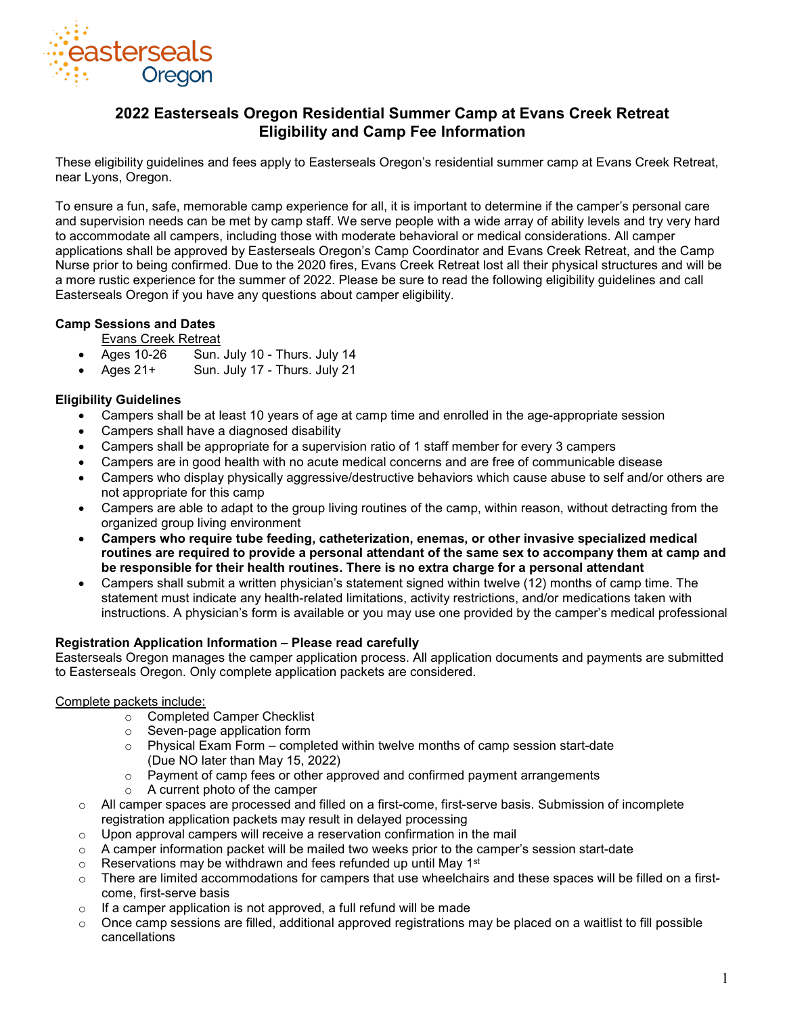

# **2022 Easterseals Oregon Residential Summer Camp at Evans Creek Retreat Eligibility and Camp Fee Information**

These eligibility guidelines and fees apply to Easterseals Oregon's residential summer camp at Evans Creek Retreat, near Lyons, Oregon.

To ensure a fun, safe, memorable camp experience for all, it is important to determine if the camper's personal care and supervision needs can be met by camp staff. We serve people with a wide array of ability levels and try very hard to accommodate all campers, including those with moderate behavioral or medical considerations. All camper applications shall be approved by Easterseals Oregon's Camp Coordinator and Evans Creek Retreat, and the Camp Nurse prior to being confirmed. Due to the 2020 fires, Evans Creek Retreat lost all their physical structures and will be a more rustic experience for the summer of 2022. Please be sure to read the following eligibility guidelines and call Easterseals Oregon if you have any questions about camper eligibility.

# **Camp Sessions and Dates**

- Evans Creek Retreat
- Ages 10-26 Sun. July 10 Thurs. July 14
- Ages 21+ Sun. July 17 Thurs. July 21

# **Eligibility Guidelines**

- Campers shall be at least 10 years of age at camp time and enrolled in the age-appropriate session
- Campers shall have a diagnosed disability
- Campers shall be appropriate for a supervision ratio of 1 staff member for every 3 campers
- Campers are in good health with no acute medical concerns and are free of communicable disease
- Campers who display physically aggressive/destructive behaviors which cause abuse to self and/or others are not appropriate for this camp
- Campers are able to adapt to the group living routines of the camp, within reason, without detracting from the organized group living environment
- **Campers who require tube feeding, catheterization, enemas, or other invasive specialized medical routines are required to provide a personal attendant of the same sex to accompany them at camp and be responsible for their health routines. There is no extra charge for a personal attendant**
- Campers shall submit a written physician's statement signed within twelve (12) months of camp time. The statement must indicate any health-related limitations, activity restrictions, and/or medications taken with instructions. A physician's form is available or you may use one provided by the camper's medical professional

# **Registration Application Information – Please read carefully**

Easterseals Oregon manages the camper application process. All application documents and payments are submitted to Easterseals Oregon. Only complete application packets are considered.

# Complete packets include:

- o Completed Camper Checklist
- o Seven-page application form
- $\circ$  Physical Exam Form completed within twelve months of camp session start-date (Due NO later than May 15, 2022)
- o Payment of camp fees or other approved and confirmed payment arrangements
- o A current photo of the camper
- $\circ$  All camper spaces are processed and filled on a first-come, first-serve basis. Submission of incomplete registration application packets may result in delayed processing
- o Upon approval campers will receive a reservation confirmation in the mail
- $\circ$  A camper information packet will be mailed two weeks prior to the camper's session start-date  $\circ$  Reservations may be withdrawn and fees refunded up until May 1<sup>st</sup>
- $\circ$  Reservations may be withdrawn and fees refunded up until May 1<sup>st</sup>  $\circ$  There are limited accommodations for campers that use wheelchair
- There are limited accommodations for campers that use wheelchairs and these spaces will be filled on a firstcome, first-serve basis
- $\circ$  If a camper application is not approved, a full refund will be made
- $\circ$  Once camp sessions are filled, additional approved registrations may be placed on a waitlist to fill possible cancellations